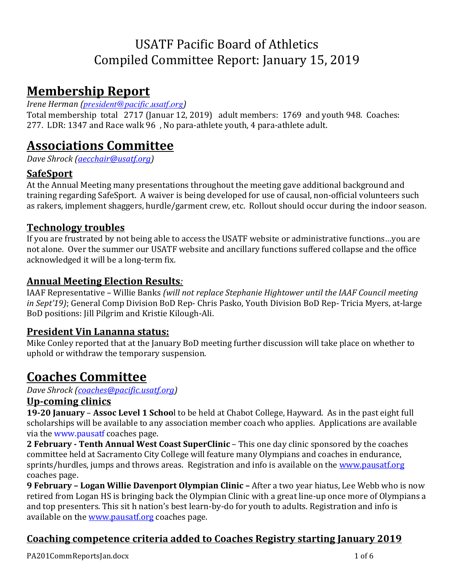# USATF Pacific Board of Athletics Compiled Committee Report: January 15, 2019

# **Membership Report**

### *Irene Herman (president@pacific.usatf.org)*

Total membership total 2717 (Januar 12, 2019) adult members: 1769 and youth 948. Coaches: 277. LDR: 1347 and Race walk 96, No para-athlete youth, 4 para-athlete adult.

## **Associations Committee**

*Dave Shrock* (*aecchair@usatf.org*)

## **SafeSport**

At the Annual Meeting many presentations throughout the meeting gave additional background and training regarding SafeSport. A waiver is being developed for use of causal, non-official volunteers such as rakers, implement shaggers, hurdle/garment crew, etc. Rollout should occur during the indoor season.

## **Technology troubles**

If you are frustrated by not being able to access the USATF website or administrative functions...you are not alone. Over the summer our USATF website and ancillary functions suffered collapse and the office acknowledged it will be a long-term fix.

### **Annual Meeting Election Results***:*

IAAF Representative – Willie Banks (will not replace Stephanie Hightower until the IAAF Council meeting *in Sept'19*); General Comp Division BoD Rep- Chris Pasko, Youth Division BoD Rep- Tricia Myers, at-large BoD positions: Jill Pilgrim and Kristie Kilough-Ali.

### **President Vin Lananna status:**

Mike Conley reported that at the January BoD meeting further discussion will take place on whether to uphold or withdraw the temporary suspension.

# **Coaches Committee**

*Dave Shrock* (*coaches@pacific.usatf.org*)

### **Up-coming clinics**

**19-20 January** – **Assoc Level 1 Schoo**l to be held at Chabot College, Hayward. As in the past eight full scholarships will be available to any association member coach who applies. Applications are available via the www.pausatf coaches page.

**2 February - Tenth Annual West Coast SuperClinic** – This one day clinic sponsored by the coaches committee held at Sacramento City College will feature many Olympians and coaches in endurance, sprints/hurdles, jumps and throws areas. Registration and info is available on the www.pausatf.org coaches page.

**9 February – Logan Willie Davenport Olympian Clinic – After a two year hiatus, Lee Webb who is now** retired from Logan HS is bringing back the Olympian Clinic with a great line-up once more of Olympians a and top presenters. This sit h nation's best learn-by-do for youth to adults. Registration and info is available on the www.pausatf.org coaches page.

## Coaching competence criteria added to Coaches Registry starting January 2019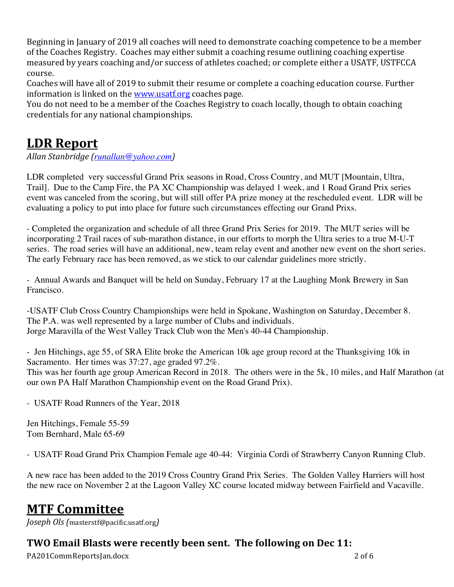Beginning in January of 2019 all coaches will need to demonstrate coaching competence to be a member of the Coaches Registry. Coaches may either submit a coaching resume outlining coaching expertise measured by vears coaching and/or success of athletes coached; or complete either a USATF, USTFCCA course.

Coaches will have all of 2019 to submit their resume or complete a coaching education course. Further information is linked on the www.usatf.org coaches page.

You do not need to be a member of the Coaches Registry to coach locally, though to obtain coaching credentials for any national championships.

## **LDR Report**

*Allan Stanbridge (runallan@yahoo.com)* 

LDR completed very successful Grand Prix seasons in Road, Cross Country, and MUT [Mountain, Ultra, Trail]. Due to the Camp Fire, the PA XC Championship was delayed 1 week, and 1 Road Grand Prix series event was canceled from the scoring, but will still offer PA prize money at the rescheduled event. LDR will be evaluating a policy to put into place for future such circumstances effecting our Grand Prixs.

- Completed the organization and schedule of all three Grand Prix Series for 2019. The MUT series will be incorporating 2 Trail races of sub-marathon distance, in our efforts to morph the Ultra series to a true M-U-T series. The road series will have an additional, new, team relay event and another new event on the short series. The early February race has been removed, as we stick to our calendar guidelines more strictly.

- Annual Awards and Banquet will be held on Sunday, February 17 at the Laughing Monk Brewery in San Francisco.

-USATF Club Cross Country Championships were held in Spokane, Washington on Saturday, December 8. The P.A. was well represented by a large number of Clubs and individuals. Jorge Maravilla of the West Valley Track Club won the Men's 40-44 Championship.

- Jen Hitchings, age 55, of SRA Elite broke the American 10k age group record at the Thanksgiving 10k in Sacramento. Her times was 37:27, age graded 97.2%. This was her fourth age group American Record in 2018. The others were in the 5k, 10 miles, and Half Marathon (at our own PA Half Marathon Championship event on the Road Grand Prix).

- USATF Road Runners of the Year, 2018

Jen Hitchings, Female 55-59 Tom Bernhard, Male 65-69

- USATF Road Grand Prix Champion Female age 40-44: Virginia Cordi of Strawberry Canyon Running Club.

A new race has been added to the 2019 Cross Country Grand Prix Series. The Golden Valley Harriers will host the new race on November 2 at the Lagoon Valley XC course located midway between Fairfield and Vacaville.

# **MTF Committee**

*Joseph Ols (*masterstf@pacific.usatf.org*)* 

## **TWO Email Blasts were recently been sent. The following on Dec 11:**

PA201CommReportsJan.docx 2 of 6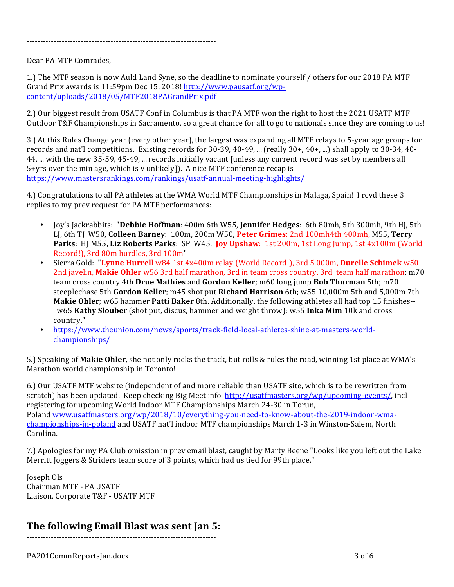----------------------------------------------------------------------

#### Dear PA MTF Comrades,

1.) The MTF season is now Auld Land Syne, so the deadline to nominate yourself / others for our 2018 PA MTF Grand Prix awards is 11:59pm Dec 15, 2018! http://www.pausatf.org/wpcontent/uploads/2018/05/MTF2018PAGrandPrix.pdf

2.) Our biggest result from USATF Conf in Columbus is that PA MTF won the right to host the 2021 USATF MTF Outdoor  $T\&F$  Championships in Sacramento, so a great chance for all to go to nationals since they are coming to us!

3.) At this Rules Change year (every other year), the largest was expanding all MTF relays to 5-year age groups for records and nat'l competitions. Existing records for 30-39, 40-49, ... (really 30+, 40+, ...) shall apply to 30-34, 40-44, ... with the new 35-59, 45-49, ... records initially vacant [unless any current record was set by members all  $5+$ yrs over the min age, which is y unlikely]). A nice MTF conference recap is https://www.mastersrankings.com/rankings/usatf-annual-meeting-highlights/

4.) Congratulations to all PA athletes at the WMA World MTF Championships in Malaga, Spain! I rcvd these 3 replies to my prev request for PA MTF performances:

- Joy's Jackrabbits: "Debbie Hoffman: 400m 6th W55, **Jennifer Hedges**: 6th 80mh, 5th 300mh, 9th HJ, 5th LJ, 6th TJ W50, Colleen Barney:  $100m$ ,  $200m$  W50, Peter Grimes:  $2nd$   $100mh4th$   $400mh$ , M55, Terry **Parks**: HJ M55, Liz Roberts Parks: SP W45, *Joy Upshaw*: 1st 200m, 1st Long Jump, 1st 4x100m (World Record!), 3rd 80m hurdles, 3rd 100m"
- Sierra Gold: "Lynne Hurrell w84 1st 4x400m relay (World Record!), 3rd 5,000m, Durelle Schimek w50 2nd javelin, **Makie Ohler** w56 3rd half marathon, 3rd in team cross country, 3rd team half marathon; m70 team cross country 4th Drue Mathies and Gordon Keller; m60 long jump Bob Thurman 5th; m70 steeplechase 5th Gordon Keller; m45 shot put Richard Harrison 6th; w55 10,000m 5th and 5,000m 7th **Makie Ohler**; w65 hammer **Patti Baker** 8th. Additionally, the following athletes all had top 15 finishes-w65 Kathy Slouber (shot put, discus, hammer and weight throw); w55 Inka Mim 10k and cross country."
- https://www.theunion.com/news/sports/track-field-local-athletes-shine-at-masters-worldchampionships/

5.) Speaking of **Makie Ohler**, she not only rocks the track, but rolls & rules the road, winning 1st place at WMA's Marathon world championship in Toronto!

6.) Our USATF MTF website (independent of and more reliable than USATF site, which is to be rewritten from scratch) has been updated. Keep checking Big Meet info http://usatfmasters.org/wp/upcoming-events/, incl registering for upcoming World Indoor MTF Championships March 24-30 in Torun, Poland www.usatfmasters.org/wp/2018/10/everything-you-need-to-know-about-the-2019-indoor-wmachampionships-in-poland and USATF nat'l indoor MTF championships March 1-3 in Winston-Salem, North Carolina. 

7.) Apologies for my PA Club omission in prev email blast, caught by Marty Beene "Looks like you left out the Lake Merritt Joggers & Striders team score of 3 points, which had us tied for 99th place."

Joseph Ols Chairman MTF - PA USATF Liaison, Corporate T&F - USATF MTF

### **The following Email Blast was sent Jan 5:**

----------------------------------------------------------------------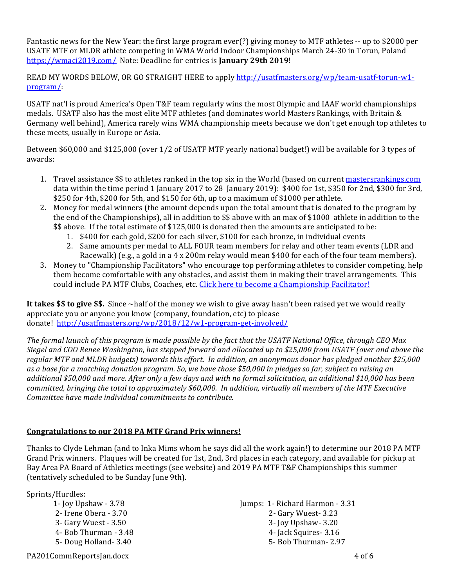Fantastic news for the New Year: the first large program ever(?) giving money to MTF athletes -- up to \$2000 per USATF MTF or MLDR athlete competing in WMA World Indoor Championships March 24-30 in Torun, Poland https://wmaci2019.com/ Note: Deadline for entries is **January 29th 2019**!

READ MY WORDS BELOW, OR GO STRAIGHT HERE to apply http://usatfmasters.org/wp/team-usatf-torun-w1program/: 

USATF nat'l is proud America's Open T&F team regularly wins the most Olympic and IAAF world championships medals. USATF also has the most elite MTF athletes (and dominates world Masters Rankings, with Britain & Germany well behind), America rarely wins WMA championship meets because we don't get enough top athletes to these meets, usually in Europe or Asia.

Between \$60,000 and \$125,000 (over 1/2 of USATF MTF yearly national budget!) will be available for 3 types of awards:

- 1. Travel assistance \$\$ to athletes ranked in the top six in the World (based on current mastersrankings.com data within the time period 1 January 2017 to 28 January 2019):  $$400$  for 1st, \$350 for 2nd, \$300 for 3rd,  $$250$  for 4th,  $$200$  for 5th, and  $$150$  for 6th, up to a maximum of  $$1000$  per athlete.
- 2. Money for medal winners (the amount depends upon the total amount that is donated to the program by the end of the Championships), all in addition to  $$$  above with an max of \$1000 athlete in addition to the \$\$ above. If the total estimate of \$125,000 is donated then the amounts are anticipated to be:
	- 1. \$400 for each gold, \$200 for each silver, \$100 for each bronze, in individual events
	- 2. Same amounts per medal to ALL FOUR team members for relay and other team events (LDR and Racewalk) (e.g., a gold in a  $4 \times 200$ m relay would mean \$400 for each of the four team members).
- 3. Money to "Championship Facilitators" who encourage top performing athletes to consider competing, help them become comfortable with any obstacles, and assist them in making their travel arrangements. This could include PA MTF Clubs, Coaches, etc. Click here to become a Championship Facilitator!

**It takes \$\$ to give \$\$.** Since ~half of the money we wish to give away hasn't been raised yet we would really appreciate you or anyone you know (company, foundation, etc) to please donate! http://usatfmasters.org/wp/2018/12/w1-program-get-involved/

The formal launch of this program is made possible by the fact that the USATF National Office, through CEO Max Siegel and COO Renee Washington, has stepped forward and allocated up to \$25,000 from USATF (over and above the regular MTF and MLDR budgets) towards this effort. In addition, an anonymous donor has pledged another \$25,000 as a base for a matching donation program. So, we have those \$50,000 in pledges so far, subject to raising an additional \$50,000 and more. After only a few days and with no formal solicitation, an additional \$10,000 has been *committed, bringing the total to approximately* \$60,000. In addition, virtually all members of the MTF Executive *Committee have made individual commitments to contribute.* 

#### **Congratulations to our 2018 PA MTF Grand Prix winners!**

Thanks to Clyde Lehman (and to Inka Mims whom he says did all the work again!) to determine our 2018 PA MTF Grand Prix winners. Plaques will be created for 1st, 2nd, 3rd places in each category, and available for pickup at Bay Area PA Board of Athletics meetings (see website) and 2019 PA MTF T&F Championships this summer (tentatively scheduled to be Sunday June 9th).

Sprints/Hurdles:

1-  $\text{Iov Upshaw} - 3.78$ 2- Irene Obera - 3.70 3- Gary Wuest - 3.50 4- Bob Thurman - 3.48 5- Doug Holland- 3.40

Jumps: 1- Richard Harmon - 3.31 2- Gary Wuest- 3.23 3- Joy Upshaw- 3.20 4- Jack Squires- 3.16 5- Bob Thurman- 2.97

PA201CommReportsJan.docx 4 of 6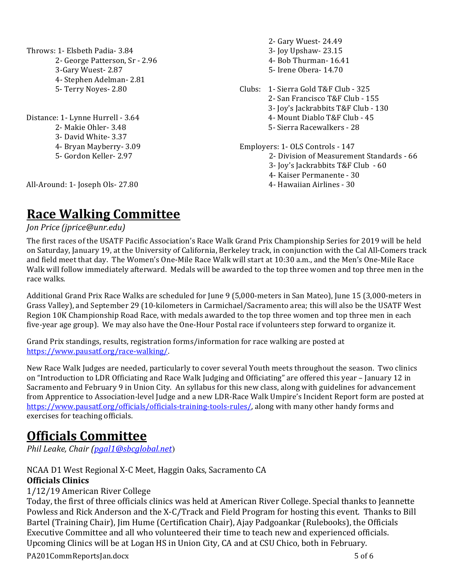Throws: 1- Elsbeth Padia- 3.84 2- George Patterson, Sr - 2.96 3-Gary Wuest- 2.87 4- Stephen Adelman- 2.81 5- Terry Noyes- 2.80

Distance: 1- Lynne Hurrell - 3.64 2- Makie Ohler- 3.48 3- David White- 3.37 4- Bryan Mayberry- 3.09 5- Gordon Keller- 2.97

2- Gary Wuest- 24.49 3- **Joy Upshaw-** 23.15 4- Bob Thurman- 16.41 5- Irene Obera- 14.70 Clubs: 1- Sierra Gold T&F Club - 325 2- San Francisco T&F Club - 155 3- Joy's Jackrabbits T&F Club - 130 4- Mount Diablo T&F Club - 45 5- Sierra Racewalkers - 28 Employers: 1- OLS Controls - 147 2- Division of Measurement Standards - 66

3- Joy's Jackrabbits T&F Club - 60

- 4- Kaiser Permanente 30
- 4- Hawaiian Airlines 30

All-Around: 1- Joseph Ols- 27.80

# **Race Walking Committee**

*Jon Price (jprice@unr.edu)* 

The first races of the USATF Pacific Association's Race Walk Grand Prix Championship Series for 2019 will be held on Saturday, January 19, at the University of California, Berkeley track, in conjunction with the Cal All-Comers track and field meet that day. The Women's One-Mile Race Walk will start at 10:30 a.m., and the Men's One-Mile Race Walk will follow immediately afterward. Medals will be awarded to the top three women and top three men in the race walks.

Additional Grand Prix Race Walks are scheduled for June 9 (5,000-meters in San Mateo), June 15 (3,000-meters in Grass Valley), and September 29 (10-kilometers in Carmichael/Sacramento area; this will also be the USATF West Region 10K Championship Road Race, with medals awarded to the top three women and top three men in each five-year age group). We may also have the One-Hour Postal race if volunteers step forward to organize it.

Grand Prix standings, results, registration forms/information for race walking are posted at https://www.pausatf.org/race-walking/. 

New Race Walk Judges are needed, particularly to cover several Youth meets throughout the season. Two clinics on "Introduction to LDR Officiating and Race Walk Judging and Officiating" are offered this year – January 12 in Sacramento and February 9 in Union City. An syllabus for this new class, along with guidelines for advancement from Apprentice to Association-level Judge and a new LDR-Race Walk Umpire's Incident Report form are posted at https://www.pausatf.org/officials/officials-training-tools-rules/, along with many other handy forms and exercises for teaching officials.

# **Officials Committee**

*Phil Leake, Chair (pgal1@sbcglobal.net*)

#### NCAA D1 West Regional X-C Meet, Haggin Oaks, Sacramento CA **Officials Clinics**

1/12/19 American River College 

Today, the first of three officials clinics was held at American River College. Special thanks to Jeannette Powless and Rick Anderson and the X-C/Track and Field Program for hosting this event. Thanks to Bill Bartel (Training Chair), Jim Hume (Certification Chair), Ajay Padgoankar (Rulebooks), the Officials Executive Committee and all who volunteered their time to teach new and experienced officials. Upcoming Clinics will be at Logan HS in Union City, CA and at CSU Chico, both in February.

PA201CommReportsJan.docx 5 of 6